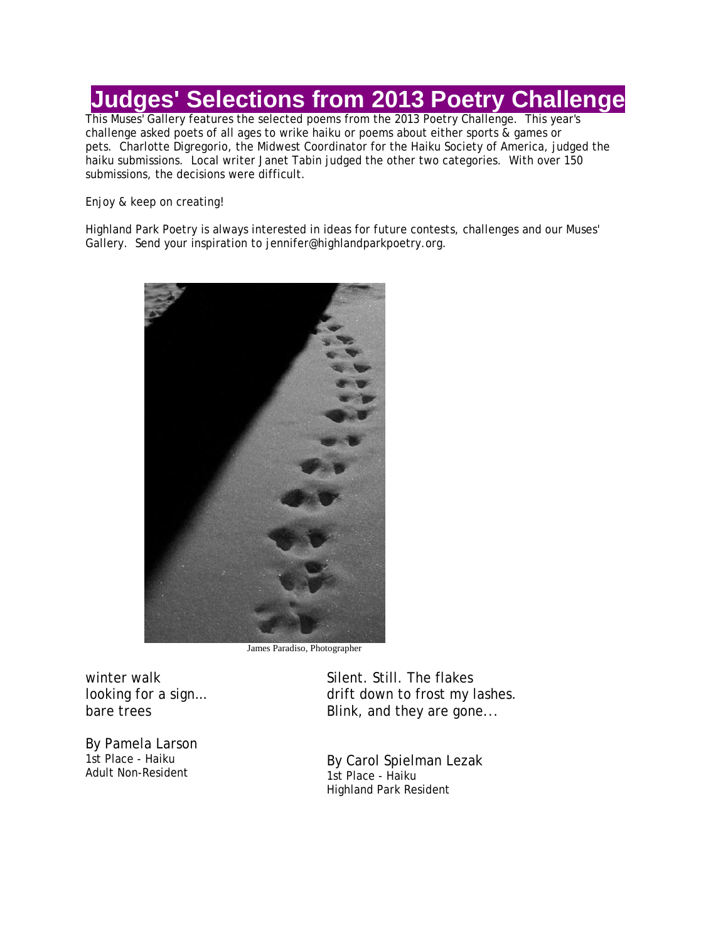# **Judges' Selections from 2013 Poetry Challenge**

This Muses' Gallery features the selected poems from the 2013 Poetry Challenge. This year's challenge asked poets of all ages to wrike haiku or poems about either sports & games or pets. Charlotte Digregorio, the Midwest Coordinator for the Haiku Society of America, judged the haiku submissions. Local writer Janet Tabin judged the other two categories. With over 150 submissions, the decisions were difficult.

#### Enjoy & keep on creating!

Highland Park Poetry is always interested in ideas for future contests, challenges and our Muses' Gallery. Send your inspiration to jennifer@highlandparkpoetry.org.



James Paradiso, Photographer

winter walk looking for a sign… bare trees

By Pamela Larson 1st Place - Haiku Adult Non-Resident

Silent. Still. The flakes drift down to frost my lashes. Blink, and they are gone...

By Carol Spielman Lezak 1st Place - Haiku Highland Park Resident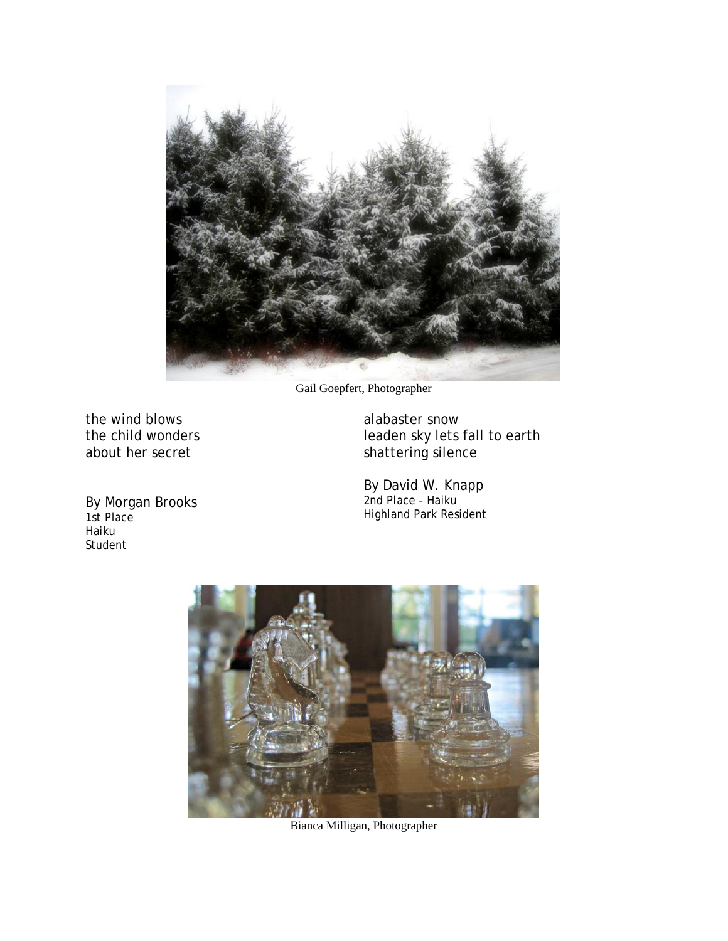

Gail Goepfert, Photographer

the wind blows the child wonders about her secret

By Morgan Brooks 1st Place Haiku Student

alabaster snow leaden sky lets fall to earth shattering silence

By David W. Knapp 2nd Place - Haiku Highland Park Resident



Bianca Milligan, Photographer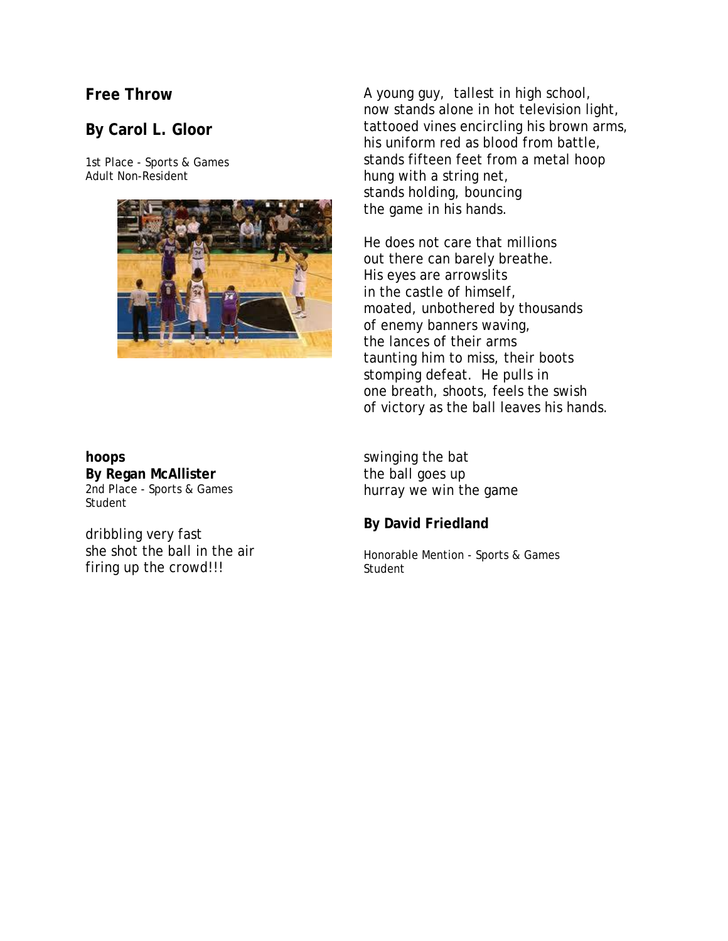## **Free Throw**

## **By Carol L. Gloor**

1st Place - Sports & Games Adult Non-Resident



**hoops By Regan McAllister** 2nd Place - Sports & Games Student

dribbling very fast she shot the ball in the air firing up the crowd!!!

A young guy, tallest in high school, now stands alone in hot television light, tattooed vines encircling his brown arms, his uniform red as blood from battle, stands fifteen feet from a metal hoop hung with a string net, stands holding, bouncing the game in his hands.

He does not care that millions out there can barely breathe. His eyes are arrowslits in the castle of himself, moated, unbothered by thousands of enemy banners waving, the lances of their arms taunting him to miss, their boots stomping defeat. He pulls in one breath, shoots, feels the swish of victory as the ball leaves his hands.

swinging the bat the ball goes up hurray we win the game

#### **By David Friedland**

Honorable Mention - Sports & Games Student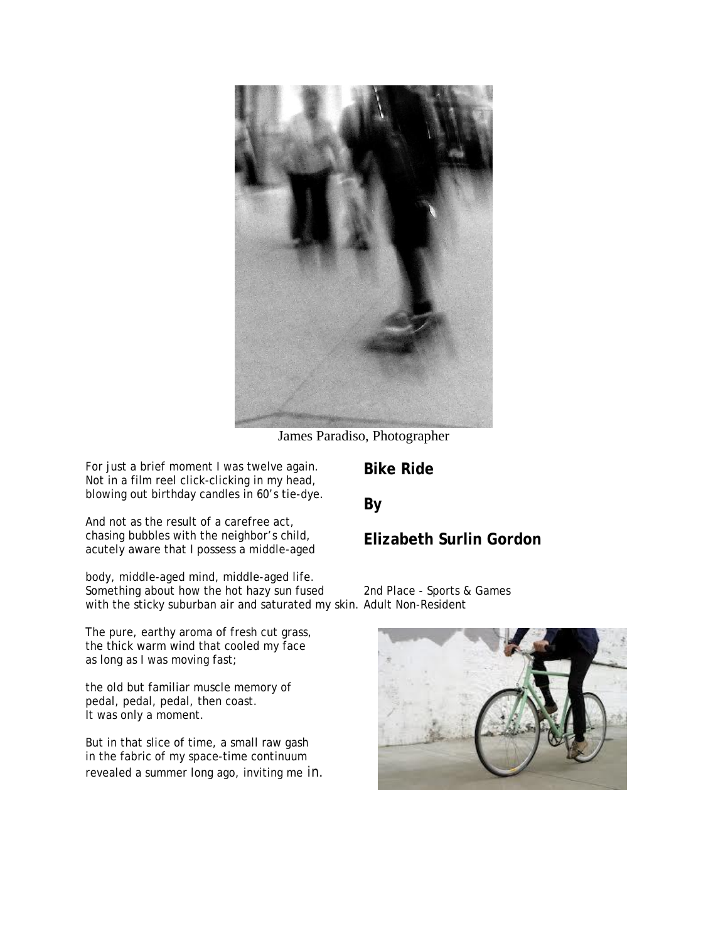

James Paradiso, Photographer

For just a brief moment I was twelve again. Not in a film reel click-clicking in my head, blowing out birthday candles in 60's tie-dye.

And not as the result of a carefree act, chasing bubbles with the neighbor's child, acutely aware that I possess a middle-aged

body, middle-aged mind, middle-aged life. Something about how the hot hazy sun fused with the sticky suburban air and saturated my skin. Adult Non-Resident

The pure, earthy aroma of fresh cut grass, the thick warm wind that cooled my face as long as I was moving fast;

the old but familiar muscle memory of pedal, pedal, pedal, then coast. It was only a moment.

But in that slice of time, a small raw gash in the fabric of my space-time continuum revealed a summer long ago, inviting me in.

## **Bike Ride**

## **By**

## **Elizabeth Surlin Gordon**

2nd Place - Sports & Games

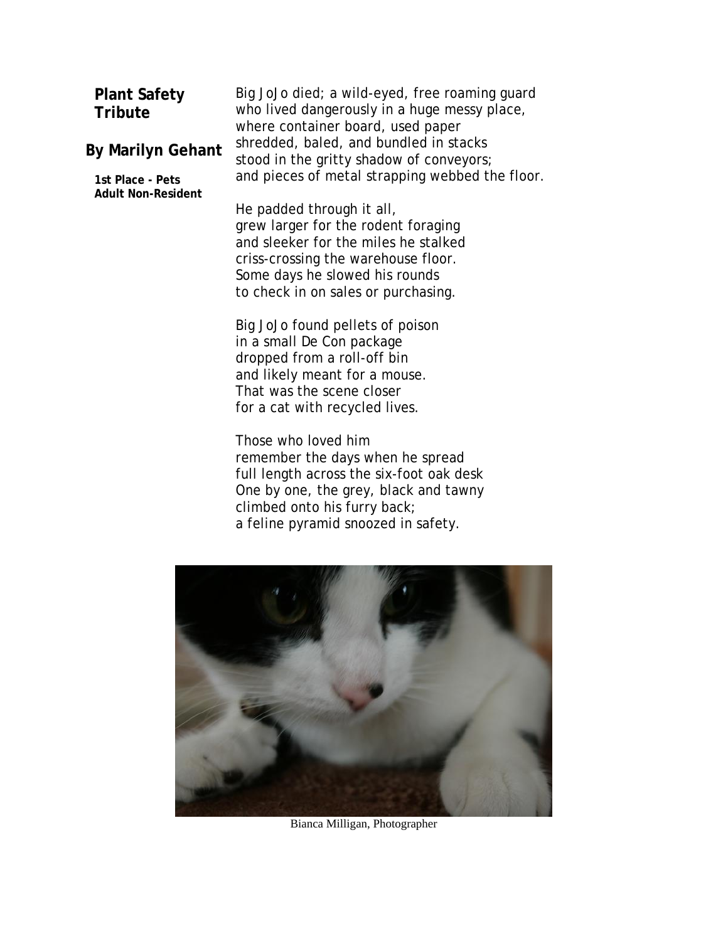## **Plant Safety Tribute**

#### **By Marilyn Gehant**

**1st Place - Pets Adult Non-Resident**

Big JoJo died; a wild-eyed, free roaming guard who lived dangerously in a huge messy place, where container board, used paper shredded, baled, and bundled in stacks stood in the gritty shadow of conveyors; and pieces of metal strapping webbed the floor.

He padded through it all, grew larger for the rodent foraging and sleeker for the miles he stalked criss-crossing the warehouse floor. Some days he slowed his rounds to check in on sales or purchasing.

Big JoJo found pellets of poison in a small De Con package dropped from a roll-off bin and likely meant for a mouse. That was the scene closer for a cat with recycled lives.

Those who loved him remember the days when he spread full length across the six-foot oak desk One by one, the grey, black and tawny climbed onto his furry back; a feline pyramid snoozed in safety.



Bianca Milligan, Photographer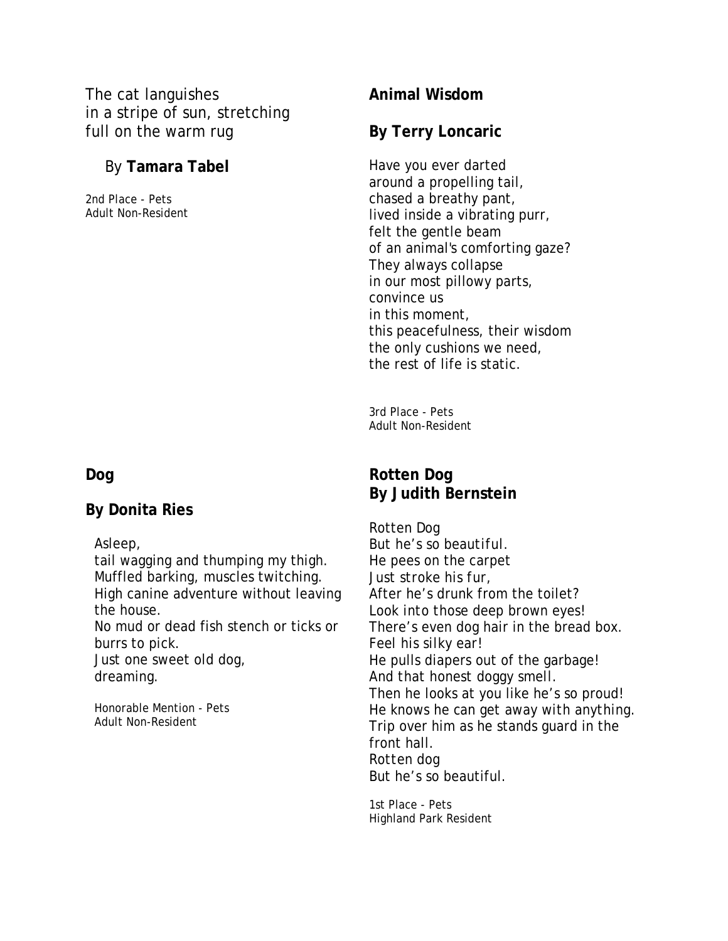The cat languishes in a stripe of sun, stretching full on the warm rug

## By **Tamara Tabel**

2nd Place - Pets Adult Non-Resident

## **Dog**

## **By Donita Ries**

Asleep,

tail wagging and thumping my thigh. Muffled barking, muscles twitching. High canine adventure without leaving the house.

No mud or dead fish stench or ticks or burrs to pick.

Just one sweet old dog, dreaming.

Honorable Mention - Pets Adult Non-Resident

## **Animal Wisdom**

## **By Terry Loncaric**

Have you ever darted around a propelling tail, chased a breathy pant, lived inside a vibrating purr, felt the gentle beam of an animal's comforting gaze? They always collapse in our most pillowy parts, convince us in this moment, this peacefulness, their wisdom the only cushions we need, the rest of life is static.

3rd Place - Pets Adult Non-Resident

## **Rotten Dog By Judith Bernstein**

Rotten Dog *But he's so beautiful*. He pees on the carpet *Just stroke his fur,* After he's drunk from the toilet? *Look into those deep brown eyes!* There's even dog hair in the bread box. *Feel his silky ear!* He pulls diapers out of the garbage! *And that honest doggy smell.* Then he looks at you like he's so proud! *He knows he can get away with anything*. Trip over him as he stands guard in the front hall. *Rotten dog* But he's so beautiful.

1st Place - Pets Highland Park Resident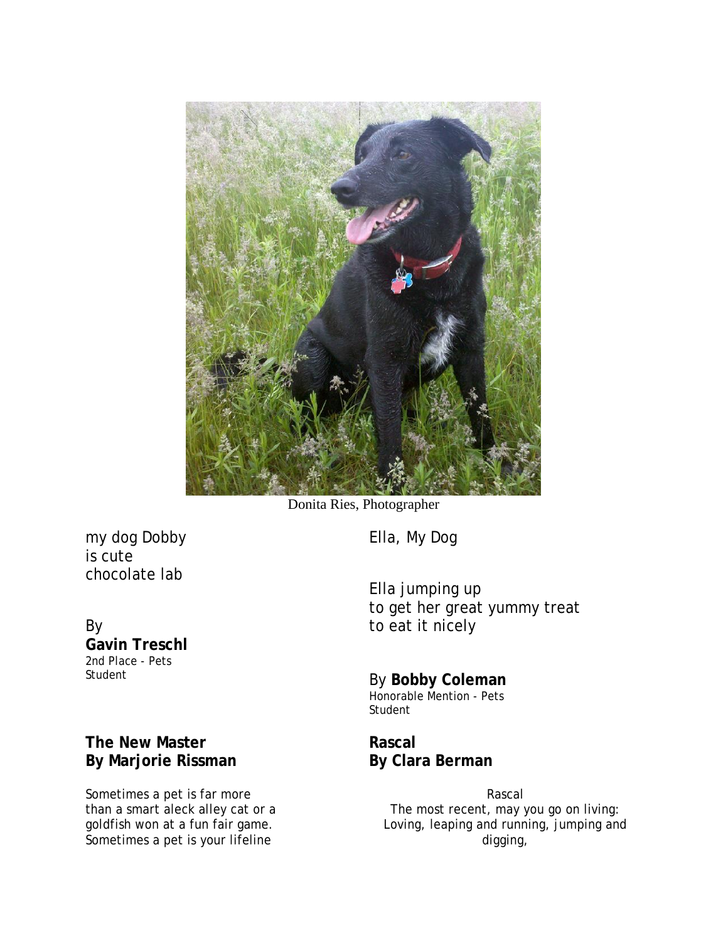

Donita Ries, Photographer

my dog Dobby is cute chocolate lab

By **Gavin Treschl** 2nd Place - Pets Student

## **The New Master By Marjorie Rissman**

Sometimes a pet is far more than a smart aleck alley cat or a goldfish won at a fun fair game. Sometimes a pet is your lifeline

Ella, My Dog

Ella jumping up to get her great yummy treat to eat it nicely

#### By **Bobby Coleman**

Honorable Mention - Pets Student

## **Rascal By Clara Berman**

Rascal The most recent, may you go on living: Loving, leaping and running, jumping and digging,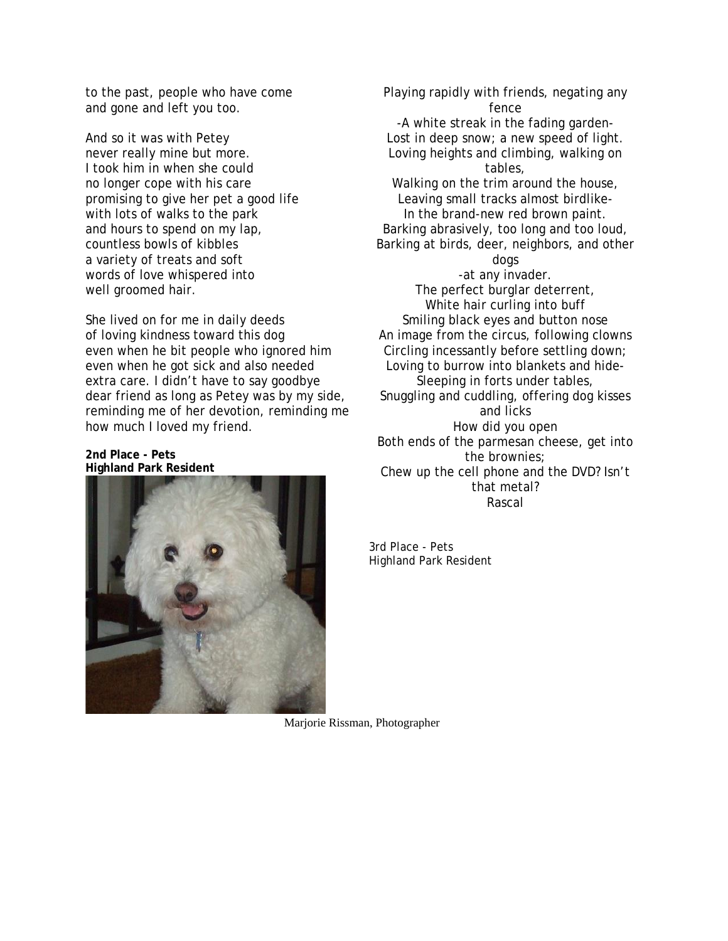to the past, people who have come and gone and left you too.

And so it was with Petey never really mine but more. I took him in when she could no longer cope with his care promising to give her pet a good life with lots of walks to the park and hours to spend on my lap, countless bowls of kibbles a variety of treats and soft words of love whispered into well groomed hair.

She lived on for me in daily deeds of loving kindness toward this dog even when he bit people who ignored him even when he got sick and also needed extra care. I didn't have to say goodbye dear friend as long as Petey was by my side, reminding me of her devotion, reminding me how much I loved my friend.

**2nd Place - Pets Highland Park Resident**



Playing rapidly with friends, negating any fence -A white streak in the fading garden-Lost in deep snow; a new speed of light. Loving heights and climbing, walking on tables, Walking on the trim around the house, Leaving small tracks almost birdlike-In the brand-new red brown paint. Barking abrasively, too long and too loud, Barking at birds, deer, neighbors, and other dogs -at any invader. The perfect burglar deterrent, White hair curling into buff Smiling black eyes and button nose An image from the circus, following clowns Circling incessantly before settling down; Loving to burrow into blankets and hide-Sleeping in forts under tables, Snuggling and cuddling, offering dog kisses and licks How did you open Both ends of the parmesan cheese, get into the brownies; Chew up the cell phone and the DVD? Isn't that metal? Rascal

3rd Place - Pets Highland Park Resident

Marjorie Rissman, Photographer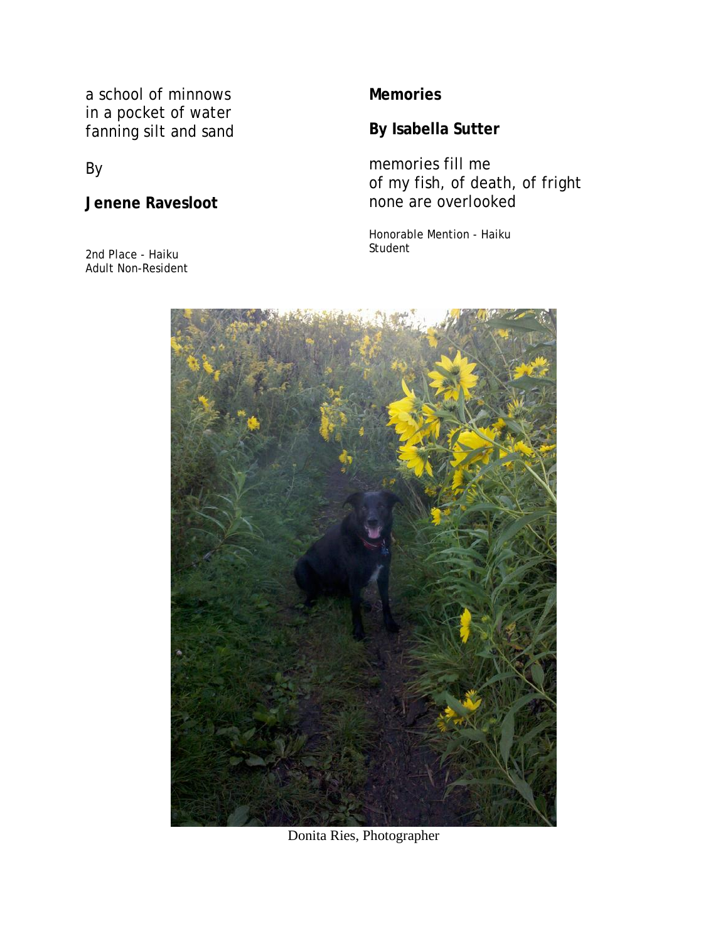a school of minnows in a pocket of water fanning silt and sand

By

**Jenene Ravesloot**

2nd Place - Haiku Adult Non-Resident

## **Memories**

**By Isabella Sutter**

memories fill me of my fish, of death, of fright none are overlooked

Honorable Mention - Haiku Student



Donita Ries, Photographer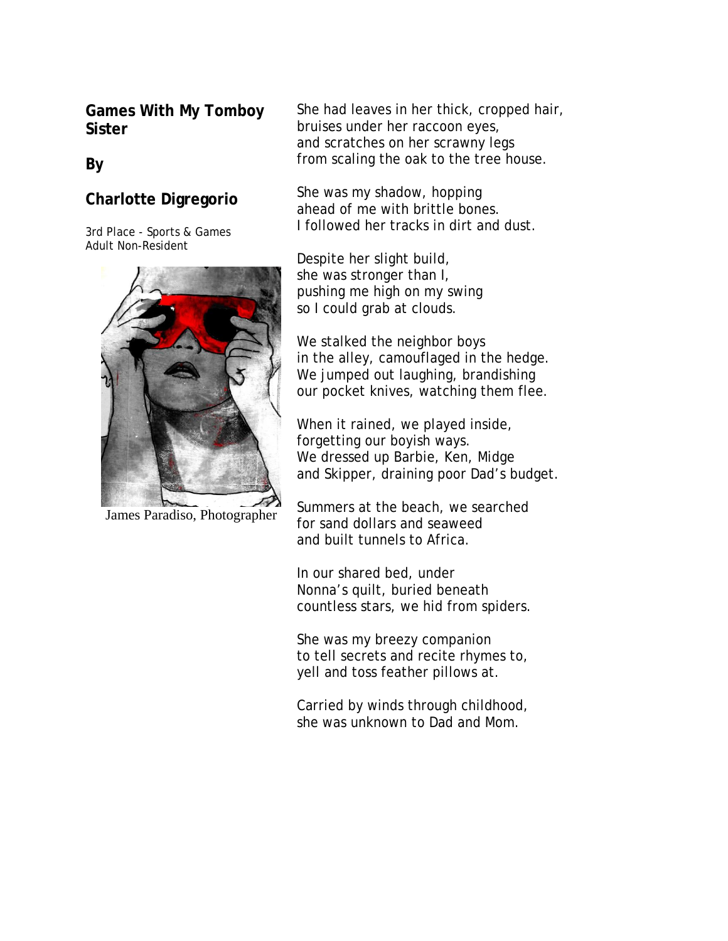**Games With My Tomboy Sister**

#### **By**

#### **Charlotte Digregorio**

3rd Place - Sports & Games Adult Non-Resident



James Paradiso, Photographer

She had leaves in her thick, cropped hair, bruises under her raccoon eyes, and scratches on her scrawny legs from scaling the oak to the tree house.

She was my shadow, hopping ahead of me with brittle bones. I followed her tracks in dirt and dust.

Despite her slight build, she was stronger than I, pushing me high on my swing so I could grab at clouds.

We stalked the neighbor boys in the alley, camouflaged in the hedge. We jumped out laughing, brandishing our pocket knives, watching them flee.

When it rained, we played inside, forgetting our boyish ways. We dressed up Barbie, Ken, Midge and Skipper, draining poor Dad's budget.

Summers at the beach, we searched for sand dollars and seaweed and built tunnels to Africa.

In our shared bed, under Nonna's quilt, buried beneath countless stars, we hid from spiders.

She was my breezy companion to tell secrets and recite rhymes to, yell and toss feather pillows at.

Carried by winds through childhood, she was unknown to Dad and Mom.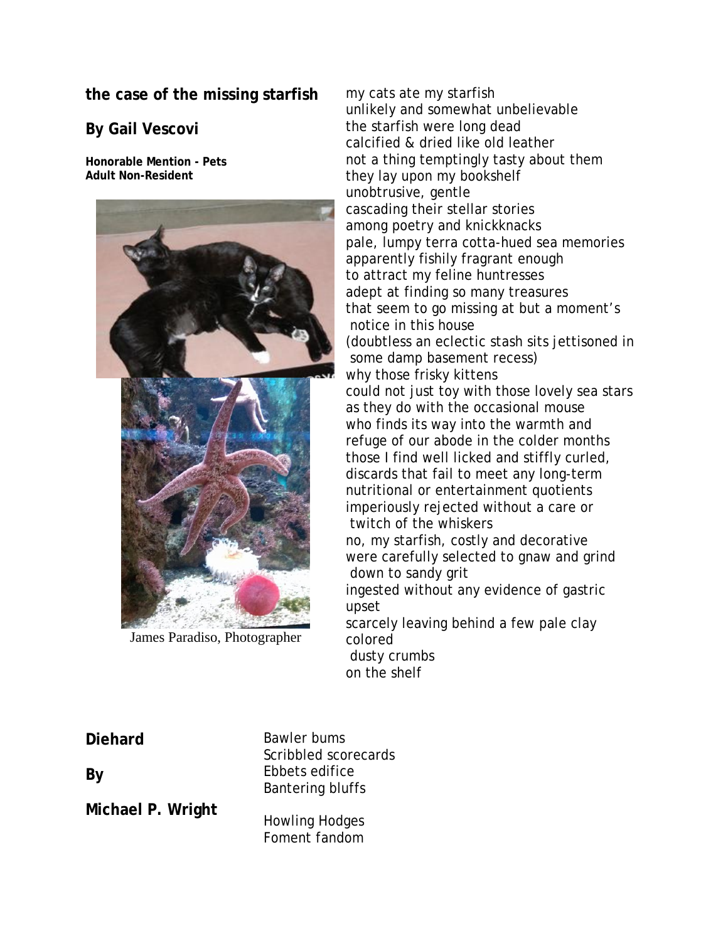**the case of the missing starfish**

## **By Gail Vescovi**

**Honorable Mention - Pets Adult Non-Resident**



James Paradiso, Photographer

my cats ate my starfish unlikely and somewhat unbelievable the starfish were long dead calcified & dried like old leather not a thing temptingly tasty about them they lay upon my bookshelf unobtrusive, gentle cascading their stellar stories among poetry and knickknacks pale, lumpy terra cotta-hued sea memories apparently fishily fragrant enough to attract my feline huntresses adept at finding so many treasures that seem to go missing at but a moment's notice in this house (doubtless an eclectic stash sits jettisoned in some damp basement recess) why those frisky kittens could not just toy with those lovely sea stars as they do with the occasional mouse who finds its way into the warmth and refuge of our abode in the colder months those I find well licked and stiffly curled, discards that fail to meet any long-term nutritional or entertainment quotients imperiously rejected without a care or twitch of the whiskers no, my starfish, costly and decorative were carefully selected to gnaw and grind down to sandy grit ingested without any evidence of gastric upset scarcely leaving behind a few pale clay colored dusty crumbs

on the shelf

**Diehard**

**By** 

**Michael P. Wright**

Bawler bums Scribbled scorecards Ebbets edifice Bantering bluffs

Howling Hodges Foment fandom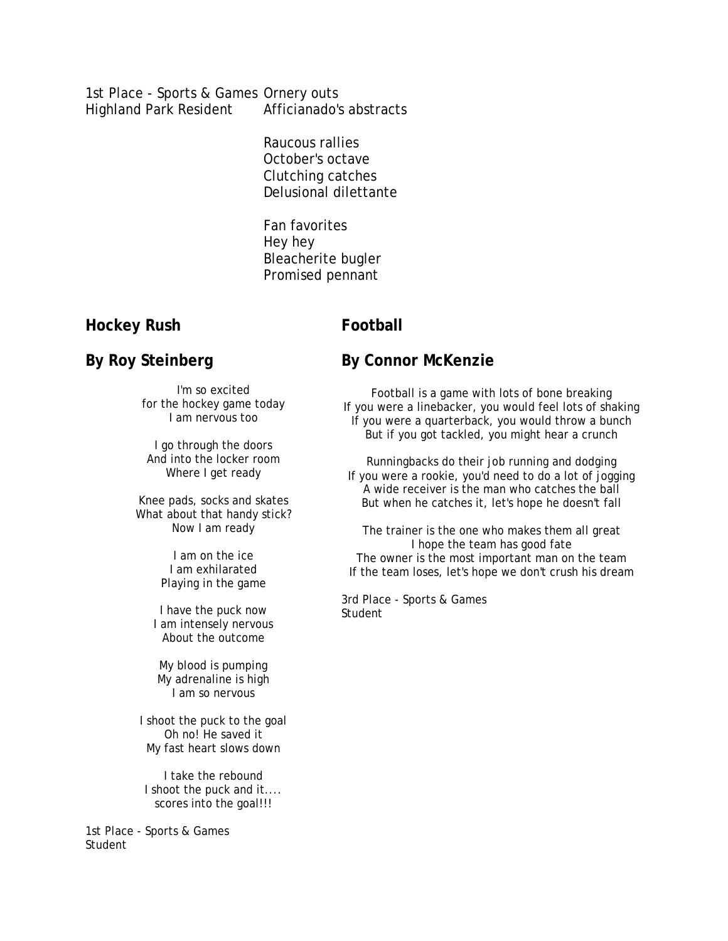1st Place - Sports & Games Ornery outs Highland Park Resident Afficianado's abstracts

> Raucous rallies October's octave Clutching catches Delusional dilettante

Fan favorites Hey hey Bleacherite bugler Promised pennant

#### **Hockey Rush**

#### **By Roy Steinberg**

I'm so excited for the hockey game today I am nervous too

I go through the doors And into the locker room Where I get ready

Knee pads, socks and skates What about that handy stick? Now I am ready

> I am on the ice I am exhilarated Playing in the game

I have the puck now I am intensely nervous About the outcome

My blood is pumping My adrenaline is high I am so nervous

I shoot the puck to the goal Oh no! He saved it My fast heart slows down

I take the rebound I shoot the puck and it.... scores into the goal!!!

1st Place - Sports & Games Student

### **Football**

#### **By Connor McKenzie**

Football is a game with lots of bone breaking If you were a linebacker, you would feel lots of shaking If you were a quarterback, you would throw a bunch But if you got tackled, you might hear a crunch

Runningbacks do their job running and dodging If you were a rookie, you'd need to do a lot of jogging A wide receiver is the man who catches the ball But when he catches it, let's hope he doesn't fall

The trainer is the one who makes them all great I hope the team has good fate The owner is the most important man on the team If the team loses, let's hope we don't crush his dream

3rd Place - Sports & Games Student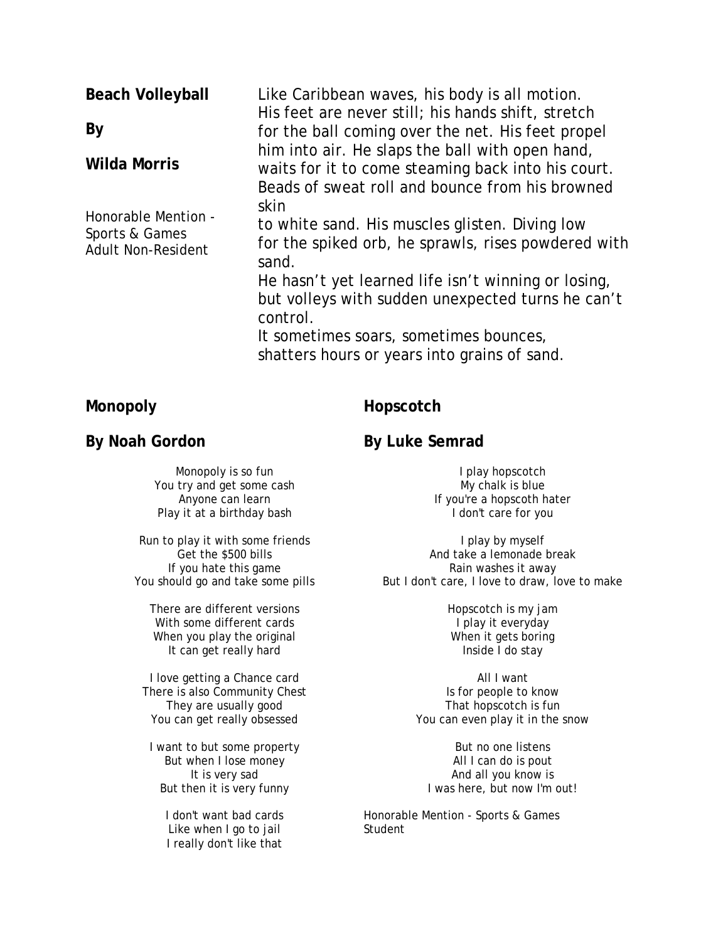| <b>Beach Volleyball</b>                                            | Like Caribbean waves, his body is all motion.<br>His feet are never still; his hands shift, stretch                                                                           |
|--------------------------------------------------------------------|-------------------------------------------------------------------------------------------------------------------------------------------------------------------------------|
| By                                                                 | for the ball coming over the net. His feet propel                                                                                                                             |
| <b>Wilda Morris</b>                                                | him into air. He slaps the ball with open hand,<br>waits for it to come steaming back into his court.<br>Beads of sweat roll and bounce from his browned                      |
| Honorable Mention -<br>Sports & Games<br><b>Adult Non-Resident</b> | skin<br>to white sand. His muscles glisten. Diving low<br>for the spiked orb, he sprawls, rises powdered with<br>sand.<br>He hasn't yet learned life isn't winning or losing, |
|                                                                    | but volleys with sudden unexpected turns he can't<br>control.<br>It sometimes soars, sometimes bounces,<br>shatters hours or years into grains of sand.                       |

#### **Monopoly**

#### **Hopscotch**

**By Luke Semrad**

#### **By Noah Gordon**

Monopoly is so fun You try and get some cash Anyone can learn Play it at a birthday bash

Run to play it with some friends Get the \$500 bills If you hate this game You should go and take some pills

There are different versions With some different cards When you play the original It can get really hard

I love getting a Chance card There is also Community Chest They are usually good You can get really obsessed

I want to but some property But when I lose money It is very sad But then it is very funny

> I don't want bad cards Like when I go to jail I really don't like that

I play hopscotch My chalk is blue If you're a hopscoth hater I don't care for you

I play by myself And take a lemonade break Rain washes it away But I don't care, I love to draw, love to make

> Hopscotch is my jam I play it everyday When it gets boring Inside I do stay

All I want Is for people to know That hopscotch is fun You can even play it in the snow

But no one listens All I can do is pout And all you know is I was here, but now I'm out!

Honorable Mention - Sports & Games Student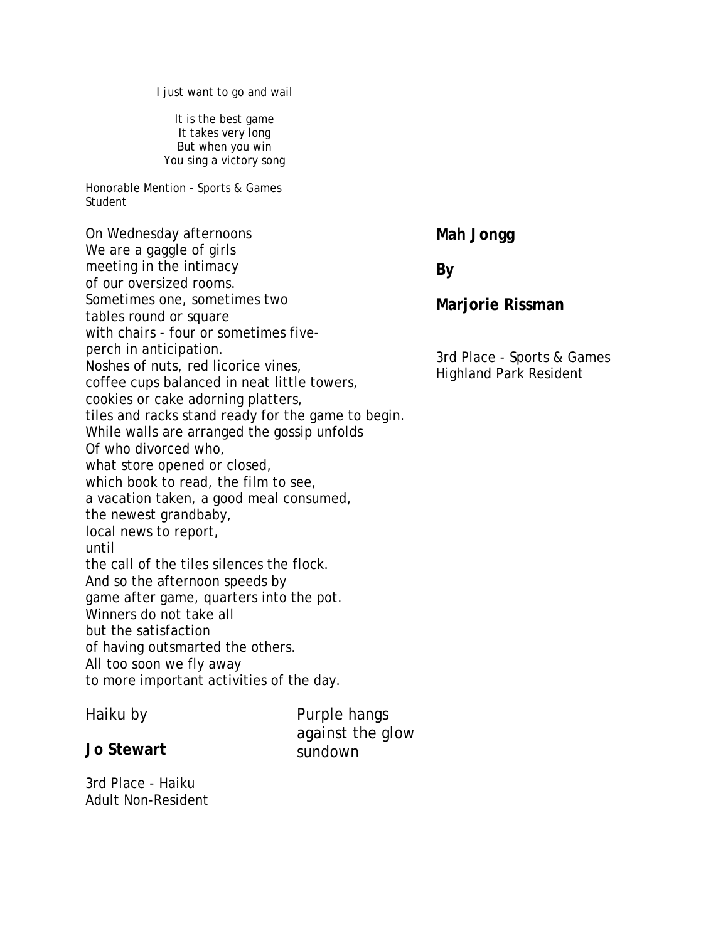I just want to go and wail

It is the best game It takes very long But when you win You sing a victory song

Honorable Mention - Sports & Games Student

On Wednesday afternoons We are a gaggle of girls meeting in the intimacy of our oversized rooms. Sometimes one, sometimes two tables round or square with chairs - four or sometimes fiveperch in anticipation. Noshes of nuts, red licorice vines, coffee cups balanced in neat little towers, cookies or cake adorning platters, tiles and racks stand ready for the game to begin. While walls are arranged the gossip unfolds Of who divorced who, what store opened or closed, which book to read, the film to see, a vacation taken, a good meal consumed, the newest grandbaby, local news to report, until the call of the tiles silences the flock. And so the afternoon speeds by game after game, quarters into the pot. Winners do not take all but the satisfaction of having outsmarted the others. All too soon we fly away to more important activities of the day.

Haiku by

**Jo Stewart**

Purple hangs against the glow sundown

3rd Place - Haiku Adult Non-Resident **Mah Jongg**

**By**

**Marjorie Rissman**

3rd Place - Sports & Games Highland Park Resident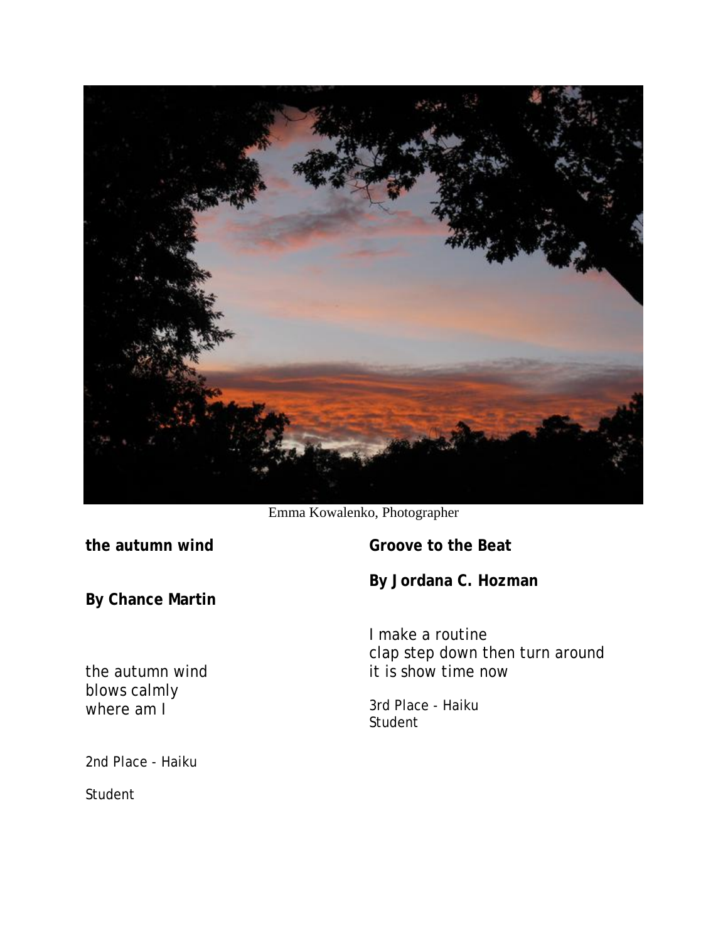

Emma Kowalenko, Photographer

**the autumn wind**

**By Chance Martin**

**Groove to the Beat**

**By Jordana C. Hozman**

the autumn wind blows calmly where am I

2nd Place - Haiku

Student

I make a routine clap step down then turn around it is show time now

3rd Place - Haiku Student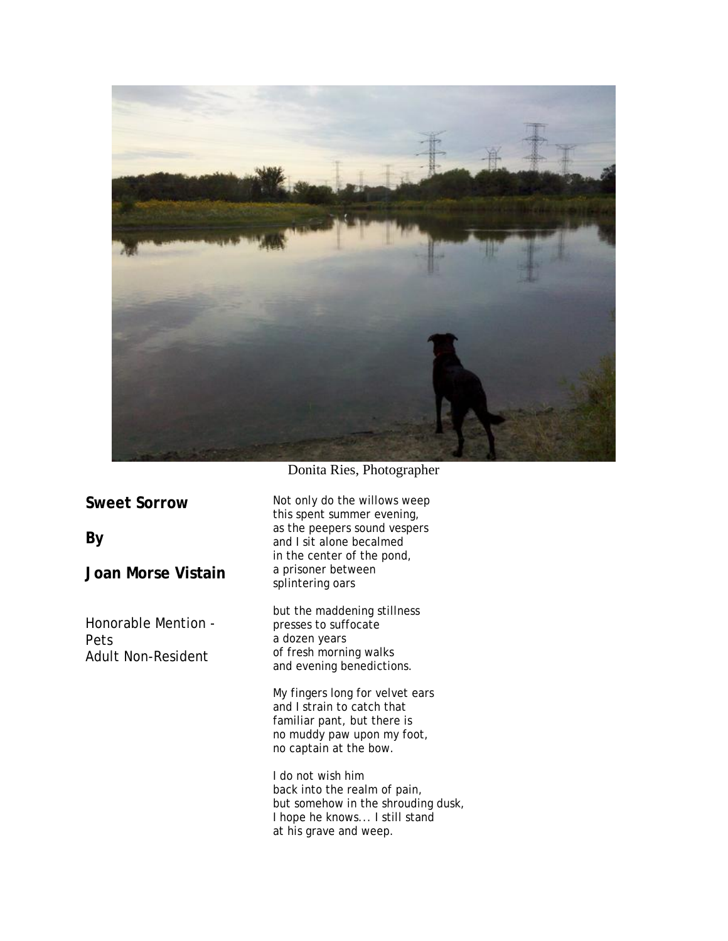

Donita Ries, Photographer

**Sweet Sorrow**

**By** 

**Joan Morse Vistain**

Honorable Mention - Pets Adult Non-Resident

Not only do the willows weep this spent summer evening, as the peepers sound vespers and I sit alone becalmed in the center of the pond, a prisoner between splintering oars

but the maddening stillness presses to suffocate a dozen years of fresh morning walks and evening benedictions.

My fingers long for velvet ears and I strain to catch that familiar pant, but there is no muddy paw upon my foot, no captain at the bow.

I do not wish him back into the realm of pain, but somehow in the shrouding dusk, I hope he knows... I still stand at his grave and weep.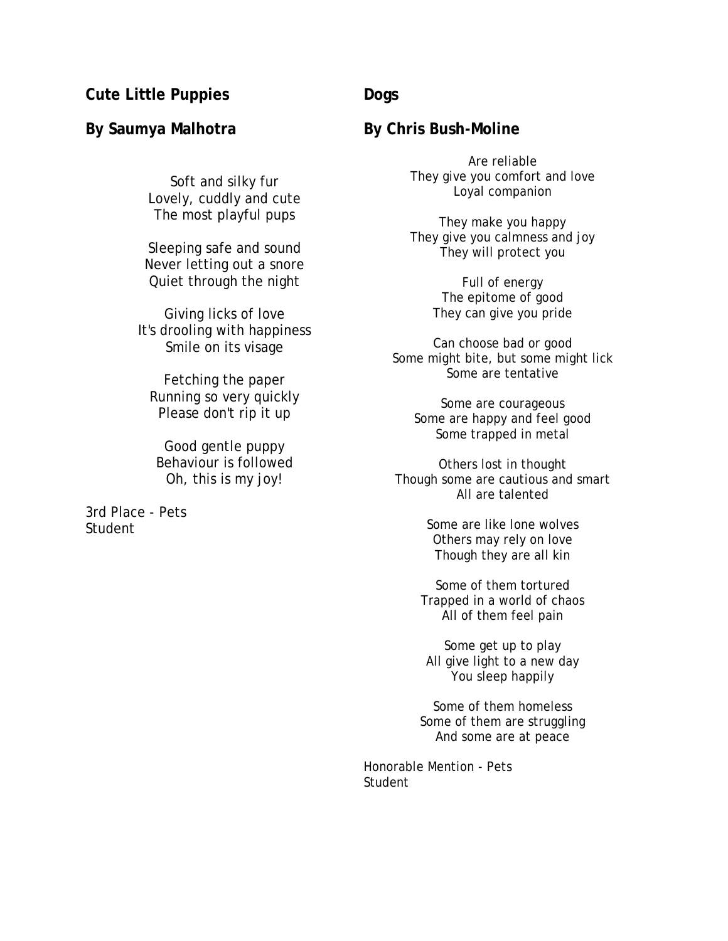#### **Cute Little Puppies**

#### **By Saumya Malhotra**

Soft and silky fur Lovely, cuddly and cute The most playful pups

Sleeping safe and sound Never letting out a snore Quiet through the night

Giving licks of love It's drooling with happiness Smile on its visage

Fetching the paper Running so very quickly Please don't rip it up

Good gentle puppy Behaviour is followed Oh, this is my joy!

3rd Place - Pets **Student** 

## **Dogs**

#### **By Chris Bush-Moline**

Are reliable They give you comfort and love Loyal companion

They make you happy They give you calmness and joy They will protect you

> Full of energy The epitome of good They can give you pride

Can choose bad or good Some might bite, but some might lick Some are tentative

Some are courageous Some are happy and feel good Some trapped in metal

Others lost in thought Though some are cautious and smart All are talented

> Some are like lone wolves Others may rely on love Though they are all kin

Some of them tortured Trapped in a world of chaos All of them feel pain

Some get up to play All give light to a new day You sleep happily

Some of them homeless Some of them are struggling And some are at peace

Honorable Mention - Pets **Student**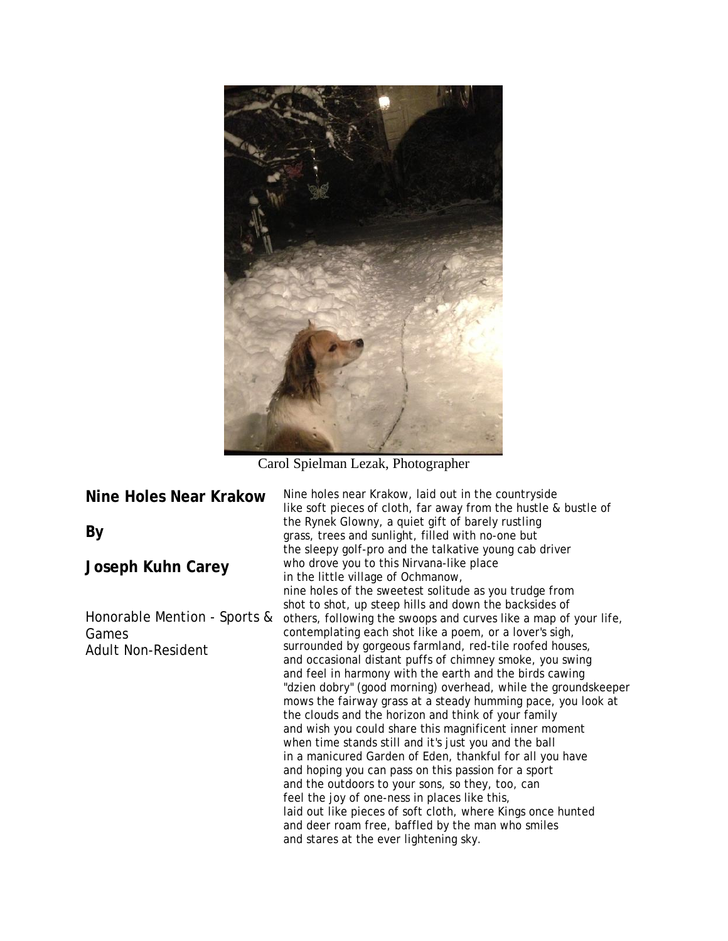

Carol Spielman Lezak, Photographer

| Nine Holes Near Krakow                | Nine holes near Krakow, laid out in the countryside<br>like soft pieces of cloth, far away from the hustle & bustle of                                                                                                                                                                                                                                                                                                                                                                                                                                                                                                                                                                                                                                                                                                                                                            |
|---------------------------------------|-----------------------------------------------------------------------------------------------------------------------------------------------------------------------------------------------------------------------------------------------------------------------------------------------------------------------------------------------------------------------------------------------------------------------------------------------------------------------------------------------------------------------------------------------------------------------------------------------------------------------------------------------------------------------------------------------------------------------------------------------------------------------------------------------------------------------------------------------------------------------------------|
| By                                    | the Rynek Glowny, a quiet gift of barely rustling<br>grass, trees and sunlight, filled with no-one but<br>the sleepy golf-pro and the talkative young cab driver                                                                                                                                                                                                                                                                                                                                                                                                                                                                                                                                                                                                                                                                                                                  |
| Joseph Kuhn Carey                     | who drove you to this Nirvana-like place<br>in the little village of Ochmanow,<br>nine holes of the sweetest solitude as you trudge from                                                                                                                                                                                                                                                                                                                                                                                                                                                                                                                                                                                                                                                                                                                                          |
| Honorable Mention - Sports &<br>Games | shot to shot, up steep hills and down the backsides of<br>others, following the swoops and curves like a map of your life,<br>contemplating each shot like a poem, or a lover's sigh,                                                                                                                                                                                                                                                                                                                                                                                                                                                                                                                                                                                                                                                                                             |
| <b>Adult Non-Resident</b>             | surrounded by gorgeous farmland, red-tile roofed houses,<br>and occasional distant puffs of chimney smoke, you swing<br>and feel in harmony with the earth and the birds cawing<br>"dzien dobry" (good morning) overhead, while the groundskeeper<br>mows the fairway grass at a steady humming pace, you look at<br>the clouds and the horizon and think of your family<br>and wish you could share this magnificent inner moment<br>when time stands still and it's just you and the ball<br>in a manicured Garden of Eden, thankful for all you have<br>and hoping you can pass on this passion for a sport<br>and the outdoors to your sons, so they, too, can<br>feel the joy of one-ness in places like this,<br>laid out like pieces of soft cloth, where Kings once hunted<br>and deer roam free, baffled by the man who smiles<br>and stares at the ever lightening sky. |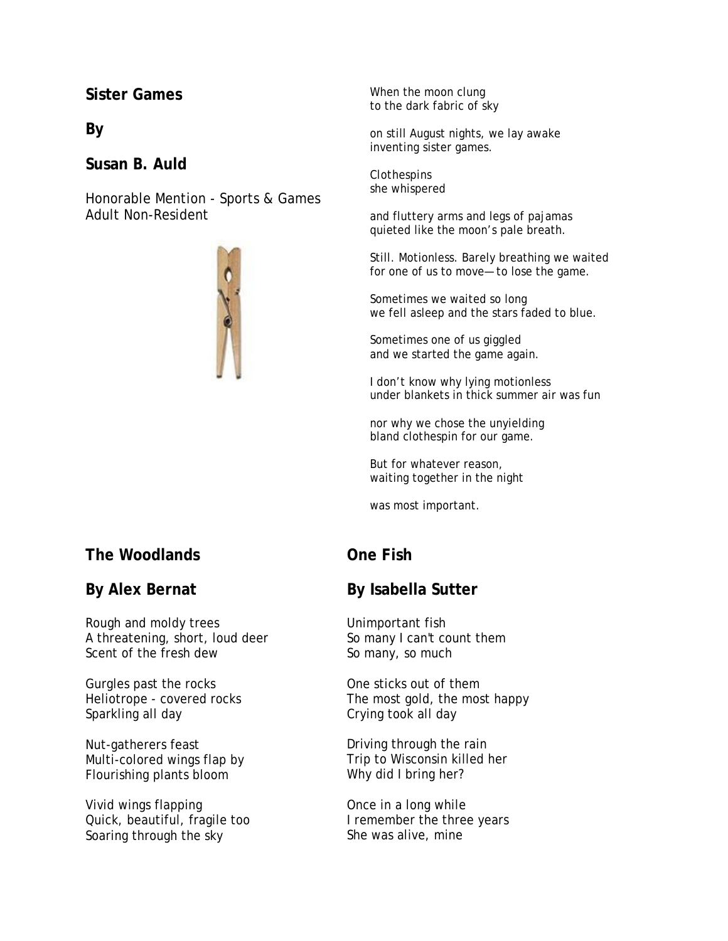#### **Sister Games**

**By**

**Susan B. Auld**

Honorable Mention - Sports & Games Adult Non-Resident



When the moon clung to the dark fabric of sky

on still August nights, we lay awake inventing sister games.

*Clothespins* she whispered

and fluttery arms and legs of pajamas quieted like the moon's pale breath.

Still. Motionless. Barely breathing we waited for one of us to move— to lose the game.

Sometimes we waited so long we fell asleep and the stars faded to blue.

Sometimes one of us giggled and we started the game again.

I don't know why lying motionless under blankets in thick summer air was fun

nor why we chose the unyielding bland clothespin for our game.

But for whatever reason, waiting together in the night

was most important.

## **One Fish**

## **By Isabella Sutter**

Unimportant fish So many I can't count them So many, so much

One sticks out of them The most gold, the most happy Crying took all day

Driving through the rain Trip to Wisconsin killed her Why did I bring her?

Once in a long while I remember the three years She was alive, mine

## **The Woodlands**

## **By Alex Bernat**

Rough and moldy trees A threatening, short, loud deer Scent of the fresh dew

Gurgles past the rocks Heliotrope - covered rocks Sparkling all day

Nut-gatherers feast Multi-colored wings flap by Flourishing plants bloom

Vivid wings flapping Quick, beautiful, fragile too Soaring through the sky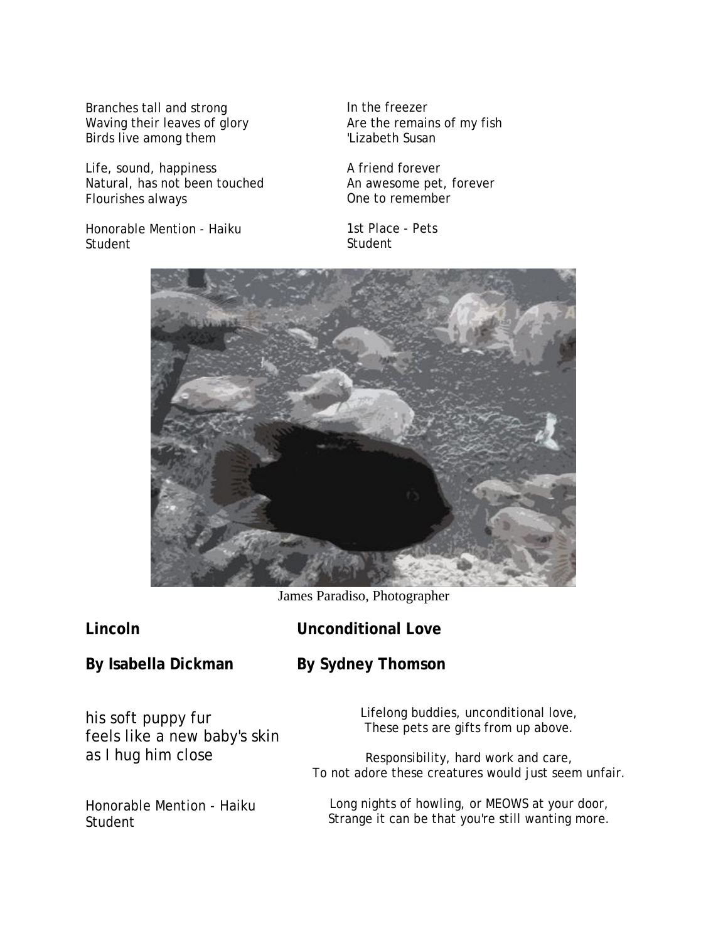Branches tall and strong Waving their leaves of glory Birds live among them

Life, sound, happiness Natural, has not been touched Flourishes always

Honorable Mention - Haiku **Student** 

In the freezer Are the remains of my fish 'Lizabeth Susan

A friend forever An awesome pet, forever One to remember

1st Place - Pets Student



James Paradiso, Photographer

#### **Lincoln**

**By Isabella Dickman**

**Unconditional Love**

## **By Sydney Thomson**

his soft puppy fur feels like a new baby's skin as I hug him close

Lifelong buddies, unconditional love, These pets are gifts from up above.

Responsibility, hard work and care, To not adore these creatures would just seem unfair.

Honorable Mention - Haiku **Student** 

Long nights of howling, or MEOWS at your door, Strange it can be that you're still wanting more.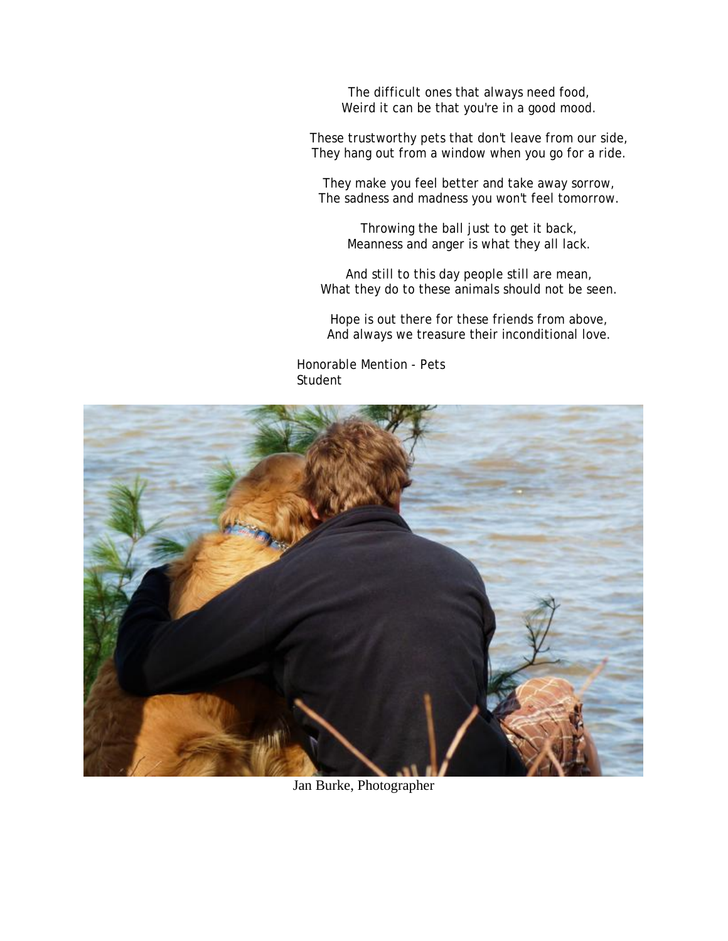The difficult ones that always need food, Weird it can be that you're in a good mood.

These trustworthy pets that don't leave from our side, They hang out from a window when you go for a ride.

They make you feel better and take away sorrow, The sadness and madness you won't feel tomorrow.

Throwing the ball just to get it back, Meanness and anger is what they all lack.

And still to this day people still are mean, What they do to these animals should not be seen.

Hope is out there for these friends from above, And always we treasure their inconditional love.

Honorable Mention - Pets Student



Jan Burke, Photographer